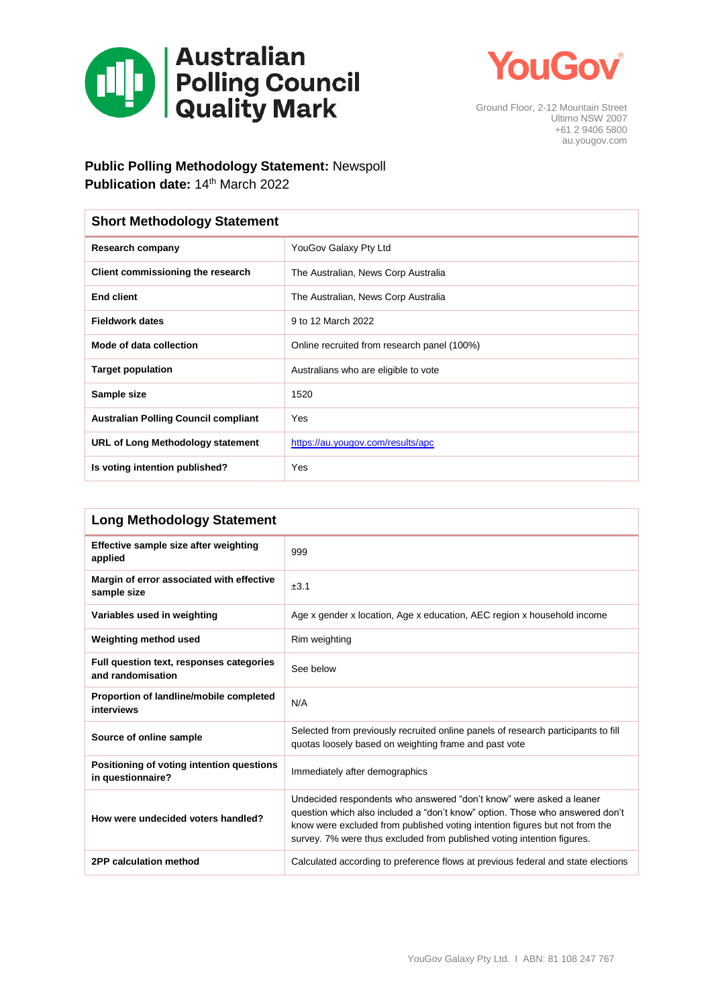



Ground Floor, 2-12 Mountain Street Ultimo NSW 2007 +61 2 9406 5800 au.yougov.com

## **Public Polling Methodology Statement:** Newspoll

**Publication date: 14th March 2022** 

| <b>Short Methodology Statement</b>          |                                             |  |  |
|---------------------------------------------|---------------------------------------------|--|--|
| <b>Research company</b>                     | YouGov Galaxy Pty Ltd                       |  |  |
| Client commissioning the research           | The Australian, News Corp Australia         |  |  |
| <b>End client</b>                           | The Australian, News Corp Australia         |  |  |
| <b>Fieldwork dates</b>                      | 9 to 12 March 2022                          |  |  |
| Mode of data collection                     | Online recruited from research panel (100%) |  |  |
| <b>Target population</b>                    | Australians who are eligible to vote        |  |  |
| Sample size                                 | 1520                                        |  |  |
| <b>Australian Polling Council compliant</b> | Yes                                         |  |  |
| URL of Long Methodology statement           | https://au.yougov.com/results/apc           |  |  |
| Is voting intention published?              | Yes                                         |  |  |

| <b>Long Methodology Statement</b>                              |                                                                                                                                                                                                                                                                                                              |  |  |  |
|----------------------------------------------------------------|--------------------------------------------------------------------------------------------------------------------------------------------------------------------------------------------------------------------------------------------------------------------------------------------------------------|--|--|--|
| Effective sample size after weighting<br>applied               | 999                                                                                                                                                                                                                                                                                                          |  |  |  |
| Margin of error associated with effective<br>sample size       | ±3.1                                                                                                                                                                                                                                                                                                         |  |  |  |
| Variables used in weighting                                    | Age x gender x location, Age x education, AEC region x household income                                                                                                                                                                                                                                      |  |  |  |
| Weighting method used                                          | Rim weighting                                                                                                                                                                                                                                                                                                |  |  |  |
| Full question text, responses categories<br>and randomisation  | See below                                                                                                                                                                                                                                                                                                    |  |  |  |
| Proportion of landline/mobile completed<br>interviews          | N/A                                                                                                                                                                                                                                                                                                          |  |  |  |
| Source of online sample                                        | Selected from previously recruited online panels of research participants to fill<br>quotas loosely based on weighting frame and past vote                                                                                                                                                                   |  |  |  |
| Positioning of voting intention questions<br>in questionnaire? | Immediately after demographics                                                                                                                                                                                                                                                                               |  |  |  |
| How were undecided voters handled?                             | Undecided respondents who answered "don't know" were asked a leaner<br>question which also included a "don't know" option. Those who answered don't<br>know were excluded from published voting intention figures but not from the<br>survey. 7% were thus excluded from published voting intention figures. |  |  |  |
| 2PP calculation method                                         | Calculated according to preference flows at previous federal and state elections                                                                                                                                                                                                                             |  |  |  |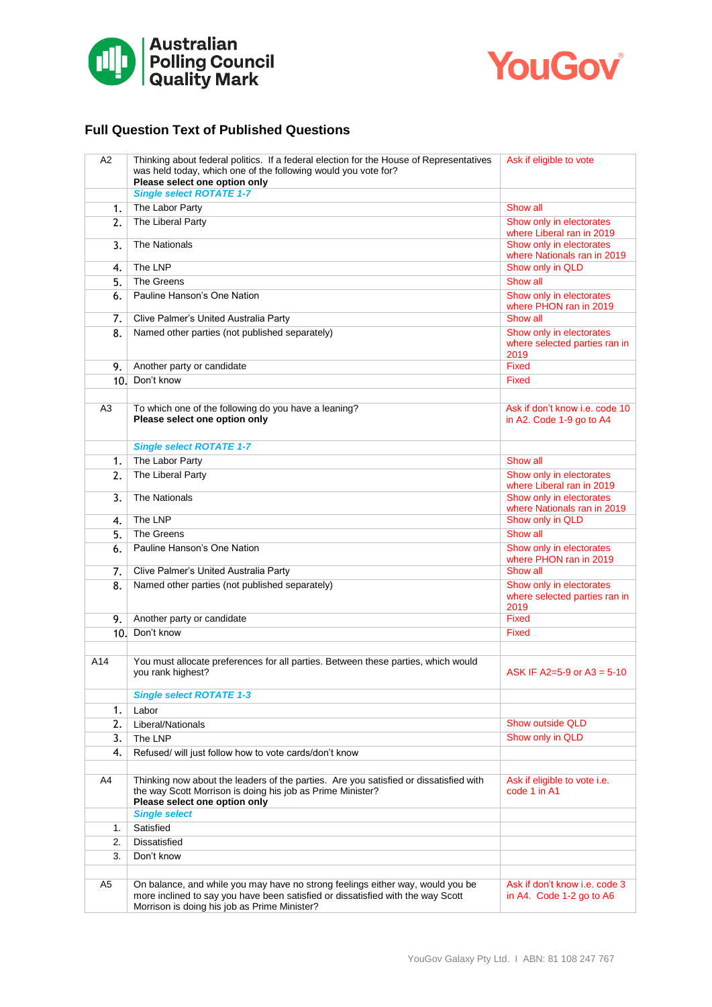



## **Full Question Text of Published Questions**

| A2             | Thinking about federal politics. If a federal election for the House of Representatives<br>was held today, which one of the following would you vote for?<br>Please select one option only                        | Ask if eligible to vote                                           |
|----------------|-------------------------------------------------------------------------------------------------------------------------------------------------------------------------------------------------------------------|-------------------------------------------------------------------|
|                | <b>Single select ROTATE 1-7</b>                                                                                                                                                                                   |                                                                   |
| 1.             | The Labor Party                                                                                                                                                                                                   | Show all                                                          |
| 2.             | The Liberal Party                                                                                                                                                                                                 | Show only in electorates<br>where Liberal ran in 2019             |
| 3.             | <b>The Nationals</b>                                                                                                                                                                                              | Show only in electorates<br>where Nationals ran in 2019           |
| 4.             | The LNP                                                                                                                                                                                                           | Show only in QLD                                                  |
| 5.             | The Greens                                                                                                                                                                                                        | Show all                                                          |
| 6.             | Pauline Hanson's One Nation                                                                                                                                                                                       | Show only in electorates<br>where PHON ran in 2019                |
| 7.             | Clive Palmer's United Australia Party                                                                                                                                                                             | Show all                                                          |
| 8.             | Named other parties (not published separately)                                                                                                                                                                    | Show only in electorates<br>where selected parties ran in<br>2019 |
| 9.             | Another party or candidate                                                                                                                                                                                        | <b>Fixed</b>                                                      |
| 10.            | Don't know                                                                                                                                                                                                        | Fixed                                                             |
|                |                                                                                                                                                                                                                   |                                                                   |
| A3             | To which one of the following do you have a leaning?<br>Please select one option only                                                                                                                             | Ask if don't know i.e. code 10<br>in A2. Code 1-9 go to A4        |
|                | <b>Single select ROTATE 1-7</b>                                                                                                                                                                                   |                                                                   |
| 1.             | The Labor Party                                                                                                                                                                                                   | Show all                                                          |
| 2.             | The Liberal Party                                                                                                                                                                                                 | Show only in electorates<br>where Liberal ran in 2019             |
| 3.             | <b>The Nationals</b>                                                                                                                                                                                              | Show only in electorates<br>where Nationals ran in 2019           |
| 4.             | The LNP                                                                                                                                                                                                           | Show only in QLD                                                  |
| 5.             | The Greens                                                                                                                                                                                                        | Show all                                                          |
| 6.             | Pauline Hanson's One Nation                                                                                                                                                                                       | Show only in electorates<br>where PHON ran in 2019                |
| 7.             | Clive Palmer's United Australia Party                                                                                                                                                                             | Show all                                                          |
| 8.             | Named other parties (not published separately)                                                                                                                                                                    | Show only in electorates<br>where selected parties ran in<br>2019 |
| 9.             | Another party or candidate                                                                                                                                                                                        | <b>Fixed</b>                                                      |
|                | 10. Don't know                                                                                                                                                                                                    | <b>Fixed</b>                                                      |
|                |                                                                                                                                                                                                                   |                                                                   |
| A14            | You must allocate preferences for all parties. Between these parties, which would<br>you rank highest?                                                                                                            | ASK IF A2=5-9 or A3 = 5-10                                        |
|                | <b>Single select ROTATE 1-3</b>                                                                                                                                                                                   |                                                                   |
| 1.             | Labor                                                                                                                                                                                                             |                                                                   |
| 2.             | Liberal/Nationals                                                                                                                                                                                                 | <b>Show outside QLD</b>                                           |
| 3.             | The LNP                                                                                                                                                                                                           | Show only in QLD                                                  |
| 4.             | Refused/ will just follow how to vote cards/don't know                                                                                                                                                            |                                                                   |
| A4             | Thinking now about the leaders of the parties. Are you satisfied or dissatisfied with                                                                                                                             | Ask if eligible to vote i.e.                                      |
|                | the way Scott Morrison is doing his job as Prime Minister?<br>Please select one option only                                                                                                                       | code 1 in A1                                                      |
|                | <b>Single select</b>                                                                                                                                                                                              |                                                                   |
| 1.             | Satisfied                                                                                                                                                                                                         |                                                                   |
| 2.             | <b>Dissatisfied</b>                                                                                                                                                                                               |                                                                   |
| 3.             | Don't know                                                                                                                                                                                                        |                                                                   |
|                |                                                                                                                                                                                                                   |                                                                   |
| A <sub>5</sub> | On balance, and while you may have no strong feelings either way, would you be<br>more inclined to say you have been satisfied or dissatisfied with the way Scott<br>Morrison is doing his job as Prime Minister? | Ask if don't know i.e. code 3<br>in A4. Code $1-2$ go to A6       |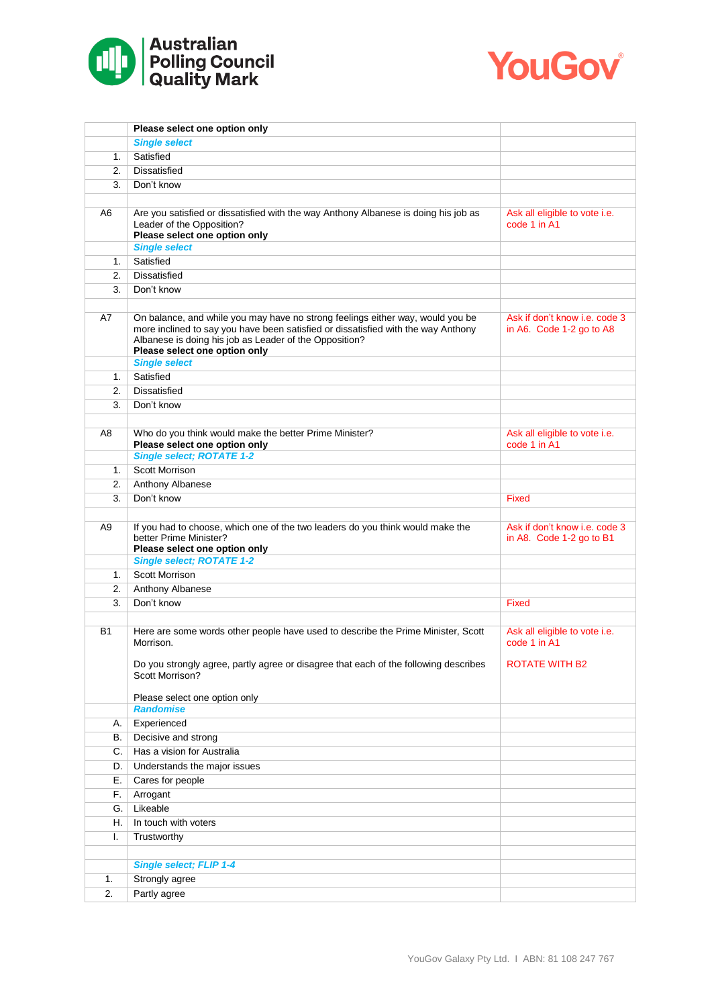



|                | Please select one option only                                                                                                                                                                                                                                                          |                                                           |
|----------------|----------------------------------------------------------------------------------------------------------------------------------------------------------------------------------------------------------------------------------------------------------------------------------------|-----------------------------------------------------------|
|                | <b>Single select</b>                                                                                                                                                                                                                                                                   |                                                           |
| 1.             | Satisfied                                                                                                                                                                                                                                                                              |                                                           |
| 2.             | <b>Dissatisfied</b>                                                                                                                                                                                                                                                                    |                                                           |
| 3.             | Don't know                                                                                                                                                                                                                                                                             |                                                           |
|                |                                                                                                                                                                                                                                                                                        |                                                           |
| A6             | Are you satisfied or dissatisfied with the way Anthony Albanese is doing his job as<br>Leader of the Opposition?<br>Please select one option only                                                                                                                                      | Ask all eligible to vote i.e.<br>code 1 in A1             |
|                | <b>Single select</b>                                                                                                                                                                                                                                                                   |                                                           |
| 1.             | Satisfied                                                                                                                                                                                                                                                                              |                                                           |
| 2.             | <b>Dissatisfied</b>                                                                                                                                                                                                                                                                    |                                                           |
| 3.             | Don't know                                                                                                                                                                                                                                                                             |                                                           |
| A7             | On balance, and while you may have no strong feelings either way, would you be<br>more inclined to say you have been satisfied or dissatisfied with the way Anthony<br>Albanese is doing his job as Leader of the Opposition?<br>Please select one option only<br><b>Single select</b> | Ask if don't know i.e. code 3<br>in A6. Code 1-2 go to A8 |
| 1.             | Satisfied                                                                                                                                                                                                                                                                              |                                                           |
| 2.             | <b>Dissatisfied</b>                                                                                                                                                                                                                                                                    |                                                           |
| 3.             | Don't know                                                                                                                                                                                                                                                                             |                                                           |
|                |                                                                                                                                                                                                                                                                                        |                                                           |
| A8             | Who do you think would make the better Prime Minister?<br>Please select one option only                                                                                                                                                                                                | Ask all eligible to vote i.e.<br>code 1 in A1             |
|                | <b>Single select; ROTATE 1-2</b>                                                                                                                                                                                                                                                       |                                                           |
| 1.             | Scott Morrison                                                                                                                                                                                                                                                                         |                                                           |
| 2.             | Anthony Albanese                                                                                                                                                                                                                                                                       |                                                           |
| 3.             | Don't know                                                                                                                                                                                                                                                                             | Fixed                                                     |
| A <sub>9</sub> | If you had to choose, which one of the two leaders do you think would make the<br>better Prime Minister?<br>Please select one option only                                                                                                                                              | Ask if don't know i.e. code 3<br>in A8. Code 1-2 go to B1 |
|                | <b>Single select; ROTATE 1-2</b>                                                                                                                                                                                                                                                       |                                                           |
| 1.             | Scott Morrison                                                                                                                                                                                                                                                                         |                                                           |
| 2.             | Anthony Albanese                                                                                                                                                                                                                                                                       |                                                           |
| 3.             | Don't know                                                                                                                                                                                                                                                                             | <b>Fixed</b>                                              |
| B1             | Here are some words other people have used to describe the Prime Minister, Scott<br>Morrison.                                                                                                                                                                                          | Ask all eligible to vote i.e.<br>code 1 in A1             |
|                | Do you strongly agree, partly agree or disagree that each of the following describes<br>Scott Morrison?                                                                                                                                                                                | <b>ROTATE WITH B2</b>                                     |
|                | Please select one option only                                                                                                                                                                                                                                                          |                                                           |
|                | <b>Randomise</b>                                                                                                                                                                                                                                                                       |                                                           |
| А.             | Experienced                                                                                                                                                                                                                                                                            |                                                           |
| В.             | Decisive and strong                                                                                                                                                                                                                                                                    |                                                           |
| C.             | Has a vision for Australia                                                                                                                                                                                                                                                             |                                                           |
| D.             | Understands the major issues                                                                                                                                                                                                                                                           |                                                           |
| Ε.             | Cares for people                                                                                                                                                                                                                                                                       |                                                           |
| F.             | Arrogant                                                                                                                                                                                                                                                                               |                                                           |
| G.             | Likeable                                                                                                                                                                                                                                                                               |                                                           |
| Η.             | In touch with voters                                                                                                                                                                                                                                                                   |                                                           |
| T.             | Trustworthy                                                                                                                                                                                                                                                                            |                                                           |
|                |                                                                                                                                                                                                                                                                                        |                                                           |
|                | <b>Single select; FLIP 1-4</b>                                                                                                                                                                                                                                                         |                                                           |
| 1.             | Strongly agree                                                                                                                                                                                                                                                                         |                                                           |
| 2.             | Partly agree                                                                                                                                                                                                                                                                           |                                                           |